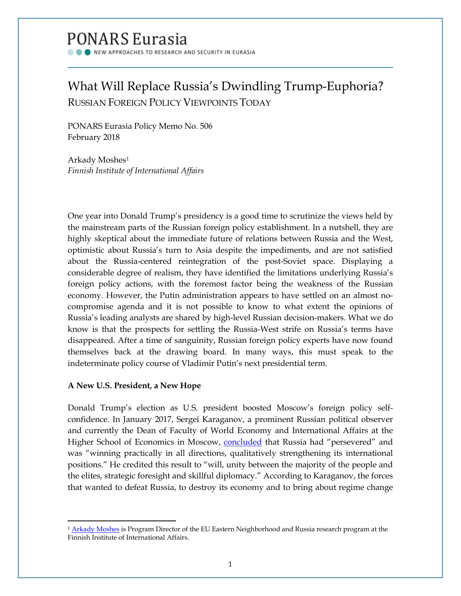# PONARS Eurasia

NEW APPROACHES TO RESEARCH AND SECURITY IN EURASIA

# What Will Replace Russia's Dwindling Trump-Euphoria? RUSSIAN FOREIGN POLICY VIEWPOINTS TODAY

PONARS Eurasia Policy Memo No. 506 February 2018

Arkady Moshes<sup>[1](#page-0-0)</sup> *Finnish Institute of International Affairs*

One year into Donald Trump's presidency is a good time to scrutinize the views held by the mainstream parts of the Russian foreign policy establishment. In a nutshell, they are highly skeptical about the immediate future of relations between Russia and the West, optimistic about Russia's turn to Asia despite the impediments, and are not satisfied about the Russia-centered reintegration of the post-Soviet space. Displaying a considerable degree of realism, they have identified the limitations underlying Russia's foreign policy actions, with the foremost factor being the weakness of the Russian economy. However, the Putin administration appears to have settled on an almost nocompromise agenda and it is not possible to know to what extent the opinions of Russia's leading analysts are shared by high-level Russian decision-makers. What we do know is that the prospects for settling the Russia-West strife on Russia's terms have disappeared. After a time of sanguinity, Russian foreign policy experts have now found themselves back at the drawing board. In many ways, this must speak to the indeterminate policy course of Vladimir Putin's next presidential term.

# **A New U.S. President, a New Hope**

l

Donald Trump's election as U.S. president boosted Moscow's foreign policy selfconfidence. In January 2017, Sergei Karaganov, a prominent Russian political observer and currently the Dean of Faculty of World Economy and International Affairs at the Higher School of Economics in Moscow, [concluded](http://www.globalaffairs.ru/number/2016--pobeda-konservativnogo-realizma-18556) that Russia had "persevered" and was "winning practically in all directions, qualitatively strengthening its international positions." He credited this result to "will, unity between the majority of the people and the elites, strategic foresight and skillful diplomacy." According to Karaganov, the forces that wanted to defeat Russia, to destroy its economy and to bring about regime change

<span id="page-0-0"></span><sup>&</sup>lt;sup>1</sup> [Arkady Moshes](http://www.ponarseurasia.org/members/arkady-moshes) is Program Director of the EU Eastern Neighborhood and Russia research program at the Finnish Institute of International Affairs.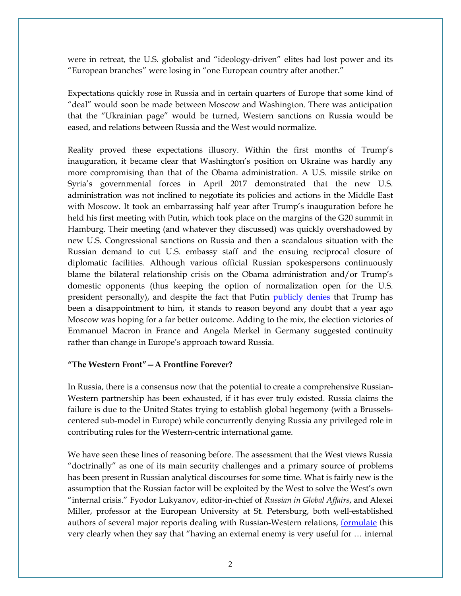were in retreat, the U.S. globalist and "ideology-driven" elites had lost power and its "European branches" were losing in "one European country after another."

Expectations quickly rose in Russia and in certain quarters of Europe that some kind of "deal" would soon be made between Moscow and Washington. There was anticipation that the "Ukrainian page" would be turned, Western sanctions on Russia would be eased, and relations between Russia and the West would normalize.

Reality proved these expectations illusory. Within the first months of Trump's inauguration, it became clear that Washington's position on Ukraine was hardly any more compromising than that of the Obama administration. A U.S. missile strike on Syria's governmental forces in April 2017 demonstrated that the new U.S. administration was not inclined to negotiate its policies and actions in the Middle East with Moscow. It took an embarrassing half year after Trump's inauguration before he held his first meeting with Putin, which took place on the margins of the G20 summit in Hamburg. Their meeting (and whatever they discussed) was quickly overshadowed by new U.S. Congressional sanctions on Russia and then a scandalous situation with the Russian demand to cut U.S. embassy staff and the ensuing reciprocal closure of diplomatic facilities. Although various official Russian spokespersons continuously blame the bilateral relationship crisis on the Obama administration and/or Trump's domestic opponents (thus keeping the option of normalization open for the U.S. president personally), and despite the fact that Putin [publicly denies](https://ria.ru/world/20170905/1501772213.html) that Trump has been a disappointment to him, it stands to reason beyond any doubt that a year ago Moscow was hoping for a far better outcome. Adding to the mix, the election victories of Emmanuel Macron in France and Angela Merkel in Germany suggested continuity rather than change in Europe's approach toward Russia.

## **"The Western Front"—A Frontline Forever?**

In Russia, there is a consensus now that the potential to create a comprehensive Russian-Western partnership has been exhausted, if it has ever truly existed. Russia claims the failure is due to the United States trying to establish global hegemony (with a Brusselscentered sub-model in Europe) while concurrently denying Russia any privileged role in contributing rules for the Western-centric international game.

We have seen these lines of reasoning before. The assessment that the West views Russia "doctrinally" as one of its main security challenges and a primary source of problems has been present in Russian analytical discourses for some time. What is fairly new is the assumption that the Russian factor will be exploited by the West to solve the West's own "internal crisis." Fyodor Lukyanov, editor-in-chief of *Russian in Global Affairs*, and Alexei Miller, professor at the European University at St. Petersburg, both well-established authors of several major reports dealing with Russian-Western relations, [formulate](http://svop.ru/wp-content/uploads/2017/07/report_miller_lukyanov_rus_2.pdf) this very clearly when they say that "having an external enemy is very useful for … internal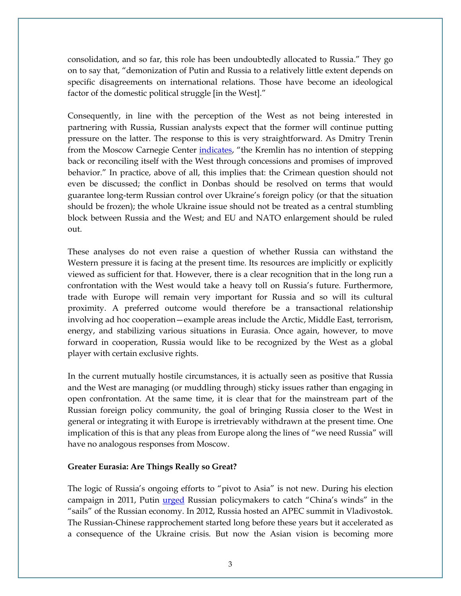consolidation, and so far, this role has been undoubtedly allocated to Russia." They go on to say that, "demonization of Putin and Russia to a relatively little extent depends on specific disagreements on international relations. Those have become an ideological factor of the domestic political struggle [in the West]."

Consequently, in line with the perception of the West as not being interested in partnering with Russia, Russian analysts expect that the former will continue putting pressure on the latter. The response to this is very straightforward. As Dmitry Trenin from the Moscow Carnegie Center [indicates,](https://themoscowtimes.com/articles/heres-a-breakdown-of-russias-foreign-policy-goals-op-ed-58677) "the Kremlin has no intention of stepping back or reconciling itself with the West through concessions and promises of improved behavior." In practice, above of all, this implies that: the Crimean question should not even be discussed; the conflict in Donbas should be resolved on terms that would guarantee long-term Russian control over Ukraine's foreign policy (or that the situation should be frozen); the whole Ukraine issue should not be treated as a central stumbling block between Russia and the West; and EU and NATO enlargement should be ruled out.

These analyses do not even raise a question of whether Russia can withstand the Western pressure it is facing at the present time. Its resources are implicitly or explicitly viewed as sufficient for that. However, there is a clear recognition that in the long run a confrontation with the West would take a heavy toll on Russia's future. Furthermore, trade with Europe will remain very important for Russia and so will its cultural proximity. A preferred outcome would therefore be a transactional relationship involving ad hoc cooperation—example areas include the Arctic, Middle East, terrorism, energy, and stabilizing various situations in Eurasia. Once again, however, to move forward in cooperation, Russia would like to be recognized by the West as a global player with certain exclusive rights.

In the current mutually hostile circumstances, it is actually seen as positive that Russia and the West are managing (or muddling through) sticky issues rather than engaging in open confrontation. At the same time, it is clear that for the mainstream part of the Russian foreign policy community, the goal of bringing Russia closer to the West in general or integrating it with Europe is irretrievably withdrawn at the present time. One implication of this is that any pleas from Europe along the lines of "we need Russia" will have no analogous responses from Moscow.

#### **Greater Eurasia: Are Things Really so Great?**

The logic of Russia's ongoing efforts to "pivot to Asia" is not new. During his election campaign in 2011, Putin *urged* Russian policymakers to catch "China's winds" in the "sails" of the Russian economy. In 2012, Russia hosted an APEC summit in Vladivostok. The Russian-Chinese rapprochement started long before these years but it accelerated as a consequence of the Ukraine crisis. But now the Asian vision is becoming more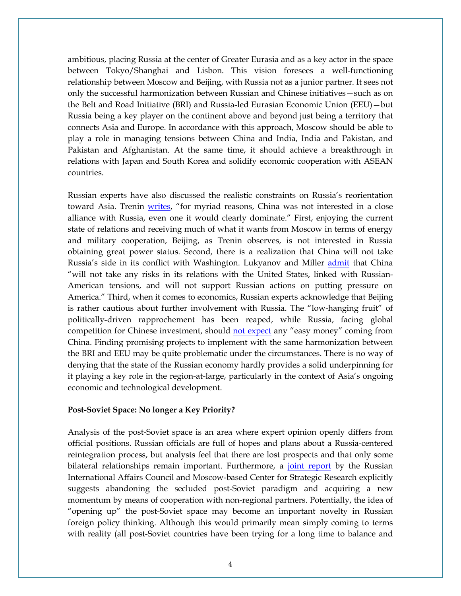ambitious, placing Russia at the center of Greater Eurasia and as a key actor in the space between Tokyo/Shanghai and Lisbon. This vision foresees a well-functioning relationship between Moscow and Beijing, with Russia not as a junior partner. It sees not only the successful harmonization between Russian and Chinese initiatives—such as on the Belt and Road Initiative (BRI) and Russia-led Eurasian Economic Union (EEU)—but Russia being a key player on the continent above and beyond just being a territory that connects Asia and Europe. In accordance with this approach, Moscow should be able to play a role in managing tensions between China and India, India and Pakistan, and Pakistan and Afghanistan. At the same time, it should achieve a breakthrough in relations with Japan and South Korea and solidify economic cooperation with ASEAN countries.

Russian experts have also discussed the realistic constraints on Russia's reorientation toward Asia. Trenin *writes*, "for myriad reasons, China was not interested in a close alliance with Russia, even one it would clearly dominate." First, enjoying the current state of relations and receiving much of what it wants from Moscow in terms of energy and military cooperation, Beijing, as Trenin observes, is not interested in Russia obtaining great power status. Second, there is a realization that China will not take Russia's side in its conflict with Washington. Lukyanov and Miller [admit](http://svop.ru/wp-content/uploads/2017/07/report_miller_lukyanov_rus_2.pdf) that China "will not take any risks in its relations with the United States, linked with Russian-American tensions, and will not support Russian actions on putting pressure on America." Third, when it comes to economics, Russian experts acknowledge that Beijing is rather cautious about further involvement with Russia. The "low-hanging fruit" of politically-driven rapprochement has been reaped, while Russia, facing global competition for Chinese investment, should [not expect](https://www.gazeta.ru/comments/2017/07/03_a_10759586.shtml;%20http:/carnegie.ru/2017/07/05/ru-pub-71431) any "easy money" coming from China. Finding promising projects to implement with the same harmonization between the BRI and EEU may be quite problematic under the circumstances. There is no way of denying that the state of the Russian economy hardly provides a solid underpinning for it playing a key role in the region-at-large, particularly in the context of Asia's ongoing economic and technological development.

### **Post-Soviet Space: No longer a Key Priority?**

Analysis of the post-Soviet space is an area where expert opinion openly differs from official positions. Russian officials are full of hopes and plans about a Russia-centered reintegration process, but analysts feel that there are lost prospects and that only some bilateral relationships remain important. Furthermore, a [joint report](http://russiancouncil.ru/papers/Russian-Foreign-Policy-2017-2024-Report-Ru.pdf) by the Russian International Affairs Council and Moscow-based Center for Strategic Research explicitly suggests abandoning the secluded post-Soviet paradigm and acquiring a new momentum by means of cooperation with non-regional partners. Potentially, the idea of "opening up" the post-Soviet space may become an important novelty in Russian foreign policy thinking. Although this would primarily mean simply coming to terms with reality (all post-Soviet countries have been trying for a long time to balance and